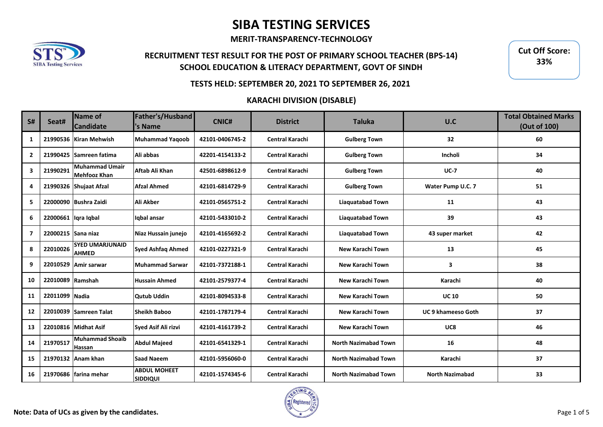**MERIT-TRANSPARENCY-TECHNOLOGY**



## **RECRUITMENT TEST RESULT FOR THE POST OF PRIMARY SCHOOL TEACHER (BPS-14) SCHOOL EDUCATION & LITERACY DEPARTMENT, GOVT OF SINDH**

**Cut Off Score: 33%**

### **TESTS HELD: SEPTEMBER 20, 2021 TO SEPTEMBER 26, 2021**

| <b>S#</b>               | Seat#                 | Name of<br><b>Candidate</b>                  | Father's/Husband<br>'s Name            | <b>CNIC#</b>    | <b>District</b>        | <b>Taluka</b>               | U.C                       | <b>Total Obtained Marks</b><br>(Out of 100) |
|-------------------------|-----------------------|----------------------------------------------|----------------------------------------|-----------------|------------------------|-----------------------------|---------------------------|---------------------------------------------|
| 1                       |                       | 21990536 Kiran Mehwish                       | <b>Muhammad Yagoob</b>                 | 42101-0406745-2 | Central Karachi        | <b>Gulberg Town</b>         | 32 <sub>2</sub>           | 60                                          |
| $\overline{2}$          | 21990425              | Samreen fatima                               | Ali abbas                              | 42201-4154133-2 | <b>Central Karachi</b> | <b>Gulberg Town</b>         | Incholi                   | 34                                          |
| 3                       | 21990291              | <b>Muhammad Umair</b><br><b>Mehfooz Khan</b> | Aftab Ali Khan                         | 42501-6898612-9 | Central Karachi        | <b>Gulberg Town</b>         | $UC-7$                    | 40                                          |
| 4                       |                       | 21990326 Shujaat Afzal                       | <b>Afzal Ahmed</b>                     | 42101-6814729-9 | Central Karachi        | <b>Gulberg Town</b>         | Water Pump U.C. 7         | 51                                          |
| 5                       | 22000090              | <b>Bushra Zaidi</b>                          | Ali Akber                              | 42101-0565751-2 | <b>Central Karachi</b> | <b>Liaquatabad Town</b>     | 11                        | 43                                          |
| 6                       | 22000661   Iqra Iqbal |                                              | Iqbal ansar                            | 42101-5433010-2 | Central Karachi        | <b>Liaquatabad Town</b>     | 39                        | 43                                          |
| $\overline{\mathbf{z}}$ | 22000215 Sana niaz    |                                              | Niaz Hussain junejo                    | 42101-4165692-2 | <b>Central Karachi</b> | <b>Liaquatabad Town</b>     | 43 super market           | 42                                          |
| 8                       | 22010026              | <b>SYED UMARJUNAID</b><br><b>AHMED</b>       | <b>Syed Ashfaq Ahmed</b>               | 42101-0227321-9 | <b>Central Karachi</b> | New Karachi Town            | 13                        | 45                                          |
| 9                       | 22010529              | Amir sarwar                                  | <b>Muhammad Sarwar</b>                 | 42101-7372188-1 | <b>Central Karachi</b> | New Karachi Town            | $\overline{\mathbf{3}}$   | 38                                          |
| 10                      | 22010089 Ramshah      |                                              | <b>Hussain Ahmed</b>                   | 42101-2579377-4 | <b>Central Karachi</b> | New Karachi Town            | Karachi                   | 40                                          |
| 11                      | 22011099 Nadia        |                                              | <b>Qutub Uddin</b>                     | 42101-8094533-8 | Central Karachi        | New Karachi Town            | <b>UC 10</b>              | 50                                          |
| 12                      | 22010039              | <b>Samreen Talat</b>                         | Sheikh Baboo                           | 42101-1787179-4 | <b>Central Karachi</b> | New Karachi Town            | <b>UC 9 khameeso Goth</b> | 37                                          |
| 13                      |                       | 22010816 Midhat Asif                         | Syed Asif Ali rizvi                    | 42101-4161739-2 | <b>Central Karachi</b> | New Karachi Town            | UC8                       | 46                                          |
| 14                      | 21970517              | <b>Muhammad Shoaib</b><br>Hassan             | <b>Abdul Majeed</b>                    | 42101-6541329-1 | <b>Central Karachi</b> | <b>North Nazimabad Town</b> | 16                        | 48                                          |
| 15                      |                       | 21970132 Anam khan                           | <b>Saad Naeem</b>                      | 42101-5956060-0 | <b>Central Karachi</b> | <b>North Nazimabad Town</b> | Karachi                   | 37                                          |
| 16                      |                       | 21970686 Ifarina mehar                       | <b>ABDUL MOHEET</b><br><b>SIDDIQUI</b> | 42101-1574345-6 | <b>Central Karachi</b> | <b>North Nazimabad Town</b> | <b>North Nazimabad</b>    | 33                                          |

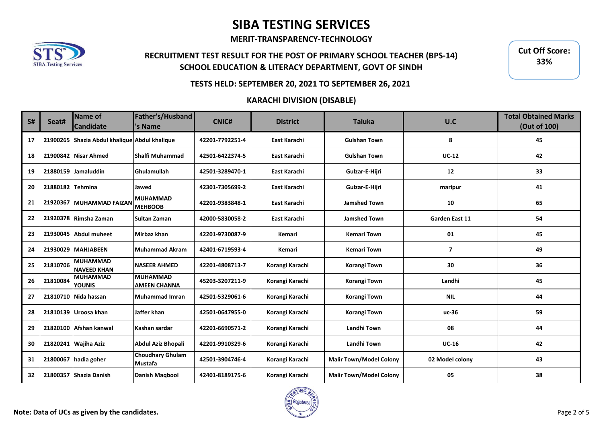**MERIT-TRANSPARENCY-TECHNOLOGY**



## **RECRUITMENT TEST RESULT FOR THE POST OF PRIMARY SCHOOL TEACHER (BPS-14) SCHOOL EDUCATION & LITERACY DEPARTMENT, GOVT OF SINDH**

**Cut Off Score: 33%**

#### **TESTS HELD: SEPTEMBER 20, 2021 TO SEPTEMBER 26, 2021**

| <b>S#</b> | Seat#            | Name of<br><b>Candidate</b>           | Father's/Husband<br>'s Name            | <b>CNIC#</b>    | <b>District</b> | <b>Taluka</b>                  | U.C             | <b>Total Obtained Marks</b><br>(Out of 100) |
|-----------|------------------|---------------------------------------|----------------------------------------|-----------------|-----------------|--------------------------------|-----------------|---------------------------------------------|
| 17        | 21900265         | Shazia Abdul khalique Abdul khalique  |                                        | 42201-7792251-4 | East Karachi    | <b>Gulshan Town</b>            | 8               | 45                                          |
| 18        |                  | 21900842 Nisar Ahmed                  | <b>Shalfi Muhammad</b>                 | 42501-6422374-5 | East Karachi    | <b>Gulshan Town</b>            | $UC-12$         | 42                                          |
| 19        |                  | 21880159 Jamaluddin                   | Ghulamullah                            | 42501-3289470-1 | East Karachi    | Gulzar-E-Hijri                 | 12              | 33                                          |
| 20        | 21880182 Tehmina |                                       | Jawed                                  | 42301-7305699-2 | East Karachi    | Gulzar-E-Hijri                 | maripur         | 41                                          |
| 21        | 21920367         | <b>MUHAMMAD FAIZAN</b>                | <b>MUHAMMAD</b><br><b>MEHBOOB</b>      | 42201-9383848-1 | East Karachi    | <b>Jamshed Town</b>            | 10              | 65                                          |
| 22        |                  | 21920378 Rimsha Zaman                 | Sultan Zaman                           | 42000-5830058-2 | East Karachi    | <b>Jamshed Town</b>            | Garden East 11  | 54                                          |
| 23        |                  | 21930045 Abdul muheet                 | Mirbaz khan                            | 42201-9730087-9 | Kemari          | <b>Kemari Town</b>             | 01              | 45                                          |
| 24        |                  | 21930029 MAHJABEEN                    | <b>Muhammad Akram</b>                  | 42401-6719593-4 | Kemari          | <b>Kemari Town</b>             | $\overline{7}$  | 49                                          |
| 25        | 21810706         | <b>MUHAMMAD</b><br><b>NAVEED KHAN</b> | <b>NASEER AHMED</b>                    | 42201-4808713-7 | Korangi Karachi | <b>Korangi Town</b>            | 30              | 36                                          |
| 26        | 21810084         | <b>MUHAMMAD</b><br><b>YOUNIS</b>      | <b>MUHAMMAD</b><br><b>AMEEN CHANNA</b> | 45203-3207211-9 | Korangi Karachi | <b>Korangi Town</b>            | Landhi          | 45                                          |
| 27        |                  | 21810710 Nida hassan                  | Muhammad Imran                         | 42501-5329061-6 | Korangi Karachi | Korangi Town                   | <b>NIL</b>      | 44                                          |
| 28        |                  | 21810139 Uroosa khan                  | Jaffer khan                            | 42501-0647955-0 | Korangi Karachi | Korangi Town                   | uc-36           | 59                                          |
| 29        | 21820100         | Afshan kanwal                         | Kashan sardar                          | 42201-6690571-2 | Korangi Karachi | Landhi Town                    | 08              | 44                                          |
| 30        |                  | 21820241 Wajiha Aziz                  | Abdul Aziz Bhopali                     | 42201-9910329-6 | Korangi Karachi | Landhi Town                    | $UC-16$         | 42                                          |
| 31        | 21800067         | hadia goher                           | <b>Choudhary Ghulam</b><br>Mustafa     | 42501-3904746-4 | Korangi Karachi | <b>Malir Town/Model Colony</b> | 02 Model colony | 43                                          |
| 32        |                  | 21800357 Shazia Danish                | <b>Danish Magbool</b>                  | 42401-8189175-6 | Korangi Karachi | <b>Malir Town/Model Colony</b> | 05              | 38                                          |

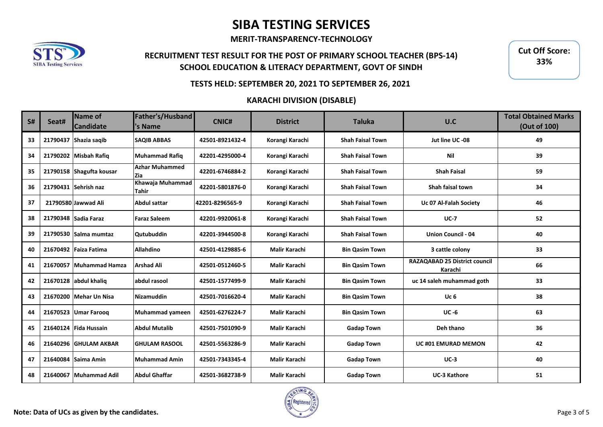**MERIT-TRANSPARENCY-TECHNOLOGY**



## **RECRUITMENT TEST RESULT FOR THE POST OF PRIMARY SCHOOL TEACHER (BPS-14) SCHOOL EDUCATION & LITERACY DEPARTMENT, GOVT OF SINDH**

**Cut Off Score: 33%**

#### **TESTS HELD: SEPTEMBER 20, 2021 TO SEPTEMBER 26, 2021**

| <b>S#</b> | Seat#    | Name of<br><b>Candidate</b> | Father's/Husband<br>'s Name      | <b>CNIC#</b>    | <b>District</b>      | <b>Taluka</b>           | U.C                                             | <b>Total Obtained Marks</b><br>(Out of 100) |
|-----------|----------|-----------------------------|----------------------------------|-----------------|----------------------|-------------------------|-------------------------------------------------|---------------------------------------------|
| 33        | 21790437 | Shazia saqib                | <b>SAQIB ABBAS</b>               | 42501-8921432-4 | Korangi Karachi      | <b>Shah Faisal Town</b> | Jut line UC -08                                 | 49                                          |
| 34        |          | 21790202 Misbah Rafiq       | Muhammad Rafiq                   | 42201-4295000-4 | Korangi Karachi      | <b>Shah Faisal Town</b> | Nil                                             | 39                                          |
| 35        |          | 21790158 Shagufta kousar    | <b>Azhar Muhammed</b><br>Zia     | 42201-6746884-2 | Korangi Karachi      | <b>Shah Faisal Town</b> | <b>Shah Faisal</b>                              | 59                                          |
| 36        |          | 21790431 Sehrish naz        | Khawaja Muhammad<br><b>Tahir</b> | 42201-5801876-0 | Korangi Karachi      | <b>Shah Faisal Town</b> | Shah faisal town                                | 34                                          |
| 37        |          | 21790580 Jawwad Ali         | <b>Abdul sattar</b>              | 42201-8296565-9 | Korangi Karachi      | <b>Shah Faisal Town</b> | Uc 07 Al-Falah Society                          | 46                                          |
| 38        |          | 21790348 Sadia Faraz        | <b>Faraz Saleem</b>              | 42201-9920061-8 | Korangi Karachi      | <b>Shah Faisal Town</b> | $UC-7$                                          | 52                                          |
| 39        |          | 21790530 Salma mumtaz       | <b>Qutubuddin</b>                | 42201-3944500-8 | Korangi Karachi      | <b>Shah Faisal Town</b> | <b>Union Council - 04</b>                       | 40                                          |
| 40        |          | 21670492 Faiza Fatima       | Allahdino                        | 42501-4129885-6 | <b>Malir Karachi</b> | <b>Bin Qasim Town</b>   | 3 cattle colony                                 | 33                                          |
| 41        | 21670057 | <b>Muhammad Hamza</b>       | <b>Arshad Ali</b>                | 42501-0512460-5 | <b>Malir Karachi</b> | <b>Bin Qasim Town</b>   | <b>RAZAQABAD 25 District council</b><br>Karachi | 66                                          |
| 42        |          | 21670128 abdul khalig       | abdul rasool                     | 42501-1577499-9 | <b>Malir Karachi</b> | <b>Bin Qasim Town</b>   | uc 14 saleh muhammad goth                       | 33                                          |
| 43        |          | 21670200 Mehar Un Nisa      | Nizamuddin                       | 42501-7016620-4 | <b>Malir Karachi</b> | <b>Bin Qasim Town</b>   | Uc <sub>6</sub>                                 | 38                                          |
| 44        | 21670523 | <b>Umar Farooq</b>          | Muhammad yameen                  | 42501-6276224-7 | <b>Malir Karachi</b> | <b>Bin Qasim Town</b>   | $UC - 6$                                        | 63                                          |
| 45        |          | 21640124 Fida Hussain       | <b>Abdul Mutalib</b>             | 42501-7501090-9 | <b>Malir Karachi</b> | <b>Gadap Town</b>       | Deh thano                                       | 36                                          |
| 46        | 21640296 | <b>GHULAM AKBAR</b>         | <b>GHULAM RASOOL</b>             | 42501-5563286-9 | <b>Malir Karachi</b> | <b>Gadap Town</b>       | <b>UC #01 EMURAD MEMON</b>                      | 42                                          |
| 47        | 21640084 | Saima Amin                  | Muhammad Amin                    | 42501-7343345-4 | <b>Malir Karachi</b> | <b>Gadap Town</b>       | $UC-3$                                          | 40                                          |
| 48        | 21640067 | <b>Muhammad Adil</b>        | <b>Abdul Ghaffar</b>             | 42501-3682738-9 | <b>Malir Karachi</b> | <b>Gadap Town</b>       | <b>UC-3 Kathore</b>                             | 51                                          |

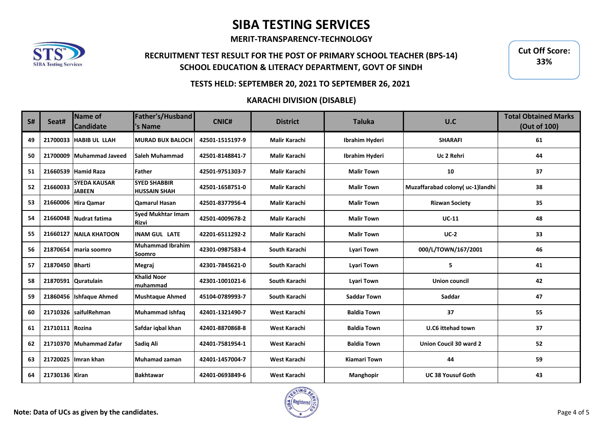**MERIT-TRANSPARENCY-TECHNOLOGY**



## **RECRUITMENT TEST RESULT FOR THE POST OF PRIMARY SCHOOL TEACHER (BPS-14) SCHOOL EDUCATION & LITERACY DEPARTMENT, GOVT OF SINDH**

**Cut Off Score: 33%**

### **TESTS HELD: SEPTEMBER 20, 2021 TO SEPTEMBER 26, 2021**

| S# | Seat#           | Name of<br><b>Candidate</b>          | Father's/Husband<br>'s Name                | <b>CNIC#</b>    | <b>District</b>      | <b>Taluka</b>       | U.C                             | <b>Total Obtained Marks</b><br>(Out of 100) |
|----|-----------------|--------------------------------------|--------------------------------------------|-----------------|----------------------|---------------------|---------------------------------|---------------------------------------------|
| 49 | 21700033        | <b>HABIB UL LLAH</b>                 | <b>MURAD BUX BALOCH</b>                    | 42501-1515197-9 | <b>Malir Karachi</b> | Ibrahim Hyderi      | <b>SHARAFI</b>                  | 61                                          |
| 50 | 21700009        | Muhammad Javeed                      | <b>Saleh Muhammad</b>                      | 42501-8148841-7 | <b>Malir Karachi</b> | Ibrahim Hyderi      | Uc 2 Rehri                      | 44                                          |
| 51 |                 | 21660539 Hamid Raza                  | Father                                     | 42501-9751303-7 | <b>Malir Karachi</b> | <b>Malir Town</b>   | 10                              | 37                                          |
| 52 | 21660033        | <b>SYEDA KAUSAR</b><br><b>JABEEN</b> | <b>SYED SHABBIR</b><br><b>HUSSAIN SHAH</b> | 42501-1658751-0 | <b>Malir Karachi</b> | <b>Malir Town</b>   | Muzaffarabad colony(uc-1)landhi | 38                                          |
| 53 |                 | 21660006 Hira Qamar                  | <b>Qamarul Hasan</b>                       | 42501-8377956-4 | <b>Malir Karachi</b> | <b>Malir Town</b>   | <b>Rizwan Society</b>           | 35                                          |
| 54 |                 | 21660048 Nudrat fatima               | <b>Syed Mukhtar Imam</b><br><b>Rizvi</b>   | 42501-4009678-2 | <b>Malir Karachi</b> | <b>Malir Town</b>   | $UC-11$                         | 48                                          |
| 55 | 21660127        | <b>NAILA KHATOON</b>                 | <b>INAM GUL LATE</b>                       | 42201-6511292-2 | <b>Malir Karachi</b> | <b>Malir Town</b>   | $UC-2$                          | 33                                          |
| 56 | 21870654        | maria soomro                         | <b>Muhammad Ibrahim</b><br>Soomro          | 42301-0987583-4 | South Karachi        | <b>Lyari Town</b>   | 000/L/TOWN/167/2001             | 46                                          |
| 57 | 21870450 Bharti |                                      | Megraj                                     | 42301-7845621-0 | South Karachi        | <b>Lyari Town</b>   | 5                               | 41                                          |
| 58 |                 | 21870591 Quratulain                  | <b>Khalid Noor</b><br>muhammad             | 42301-1001021-6 | South Karachi        | <b>Lyari Town</b>   | <b>Union council</b>            | 42                                          |
| 59 |                 | 21860456 Ishfaque Ahmed              | <b>Mushtaque Ahmed</b>                     | 45104-0789993-7 | South Karachi        | <b>Saddar Town</b>  | Saddar                          | 47                                          |
| 60 |                 | 21710326 IsaifulRehman               | Muhammad ishfaq                            | 42401-1321490-7 | West Karachi         | <b>Baldia Town</b>  | 37                              | 55                                          |
| 61 | 21710111 Rozina |                                      | Safdar igbal khan                          | 42401-8870868-8 | West Karachi         | <b>Baldia Town</b>  | U.C6 ittehad town               | 37                                          |
| 62 |                 | 21710370 Muhammad Zafar              | Sadiq Ali                                  | 42401-7581954-1 | West Karachi         | <b>Baldia Town</b>  | <b>Union Coucil 30 ward 2</b>   | 52                                          |
| 63 | 21720025        | Ilmran khan                          | Muhamad zaman                              | 42401-1457004-7 | West Karachi         | <b>Kiamari Town</b> | 44                              | 59                                          |
| 64 | 21730136 Kiran  |                                      | <b>Bakhtawar</b>                           | 42401-0693849-6 | West Karachi         | Manghopir           | <b>UC38 Yousuf Goth</b>         | 43                                          |